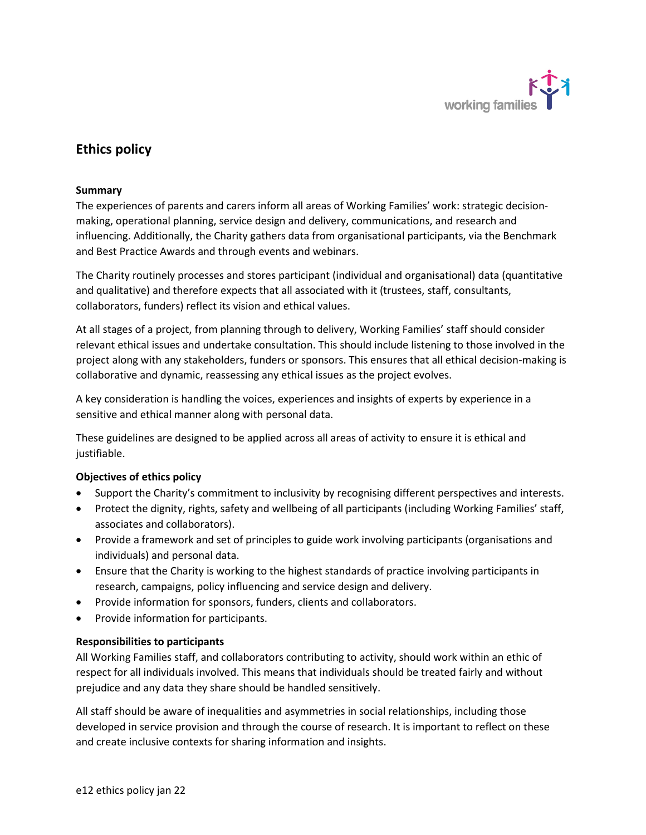

## **Ethics policy**

### **Summary**

The experiences of parents and carers inform all areas of Working Families' work: strategic decisionmaking, operational planning, service design and delivery, communications, and research and influencing. Additionally, the Charity gathers data from organisational participants, via the Benchmark and Best Practice Awards and through events and webinars.

The Charity routinely processes and stores participant (individual and organisational) data (quantitative and qualitative) and therefore expects that all associated with it (trustees, staff, consultants, collaborators, funders) reflect its vision and ethical values.

At all stages of a project, from planning through to delivery, Working Families' staff should consider relevant ethical issues and undertake consultation. This should include listening to those involved in the project along with any stakeholders, funders or sponsors. This ensures that all ethical decision-making is collaborative and dynamic, reassessing any ethical issues as the project evolves.

A key consideration is handling the voices, experiences and insights of experts by experience in a sensitive and ethical manner along with personal data.

These guidelines are designed to be applied across all areas of activity to ensure it is ethical and justifiable.

### **Objectives of ethics policy**

- Support the Charity's commitment to inclusivity by recognising different perspectives and interests.
- Protect the dignity, rights, safety and wellbeing of all participants (including Working Families' staff, associates and collaborators).
- Provide a framework and set of principles to guide work involving participants (organisations and individuals) and personal data.
- Ensure that the Charity is working to the highest standards of practice involving participants in research, campaigns, policy influencing and service design and delivery.
- Provide information for sponsors, funders, clients and collaborators.
- Provide information for participants.

### **Responsibilities to participants**

All Working Families staff, and collaborators contributing to activity, should work within an ethic of respect for all individuals involved. This means that individuals should be treated fairly and without prejudice and any data they share should be handled sensitively.

All staff should be aware of inequalities and asymmetries in social relationships, including those developed in service provision and through the course of research. It is important to reflect on these and create inclusive contexts for sharing information and insights.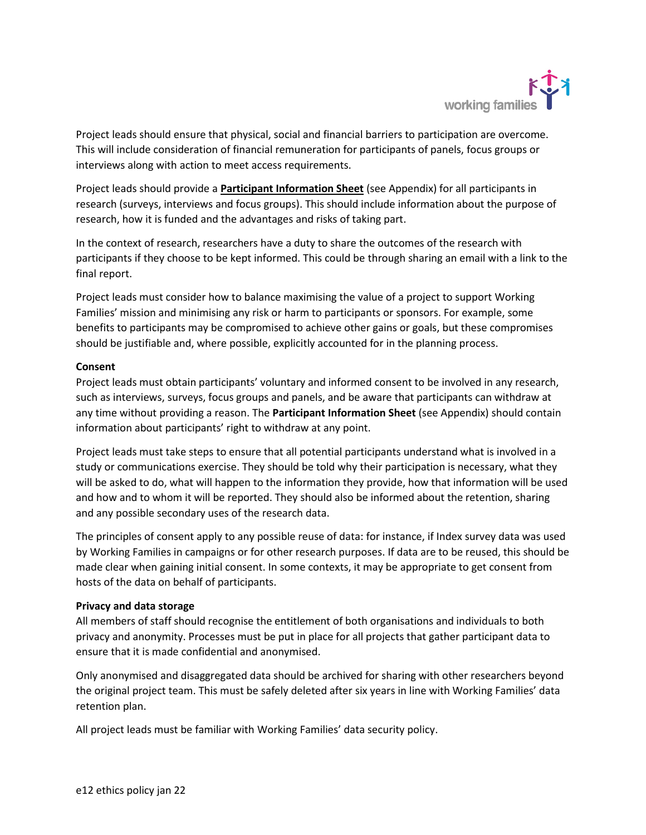

Project leads should ensure that physical, social and financial barriers to participation are overcome. This will include consideration of financial remuneration for participants of panels, focus groups or interviews along with action to meet access requirements.

Project leads should provide a **[Participant Information Sheet](https://workingfamilies.sharepoint.com/:w:/g/EX1yPsqfuvpFgKENYYlQzGQBDZnGY4MCocde7KxQlUBHyA?e=4cxcds)** (see Appendix) for all participants in research (surveys, interviews and focus groups). This should include information about the purpose of research, how it is funded and the advantages and risks of taking part.

In the context of research, researchers have a duty to share the outcomes of the research with participants if they choose to be kept informed. This could be through sharing an email with a link to the final report.

Project leads must consider how to balance maximising the value of a project to support Working Families' mission and minimising any risk or harm to participants or sponsors. For example, some benefits to participants may be compromised to achieve other gains or goals, but these compromises should be justifiable and, where possible, explicitly accounted for in the planning process.

#### **Consent**

Project leads must obtain participants' voluntary and informed consent to be involved in any research, such as interviews, surveys, focus groups and panels, and be aware that participants can withdraw at any time without providing a reason. The **Participant Information Sheet** (see Appendix) should contain information about participants' right to withdraw at any point.

Project leads must take steps to ensure that all potential participants understand what is involved in a study or communications exercise. They should be told why their participation is necessary, what they will be asked to do, what will happen to the information they provide, how that information will be used and how and to whom it will be reported. They should also be informed about the retention, sharing and any possible secondary uses of the research data.

The principles of consent apply to any possible reuse of data: for instance, if Index survey data was used by Working Families in campaigns or for other research purposes. If data are to be reused, this should be made clear when gaining initial consent. In some contexts, it may be appropriate to get consent from hosts of the data on behalf of participants.

### **Privacy and data storage**

All members of staff should recognise the entitlement of both organisations and individuals to both privacy and anonymity. Processes must be put in place for all projects that gather participant data to ensure that it is made confidential and anonymised.

Only anonymised and disaggregated data should be archived for sharing with other researchers beyond the original project team. This must be safely deleted after six years in line with Working Families' data retention plan.

All project leads must be familiar with Working Families' data security policy.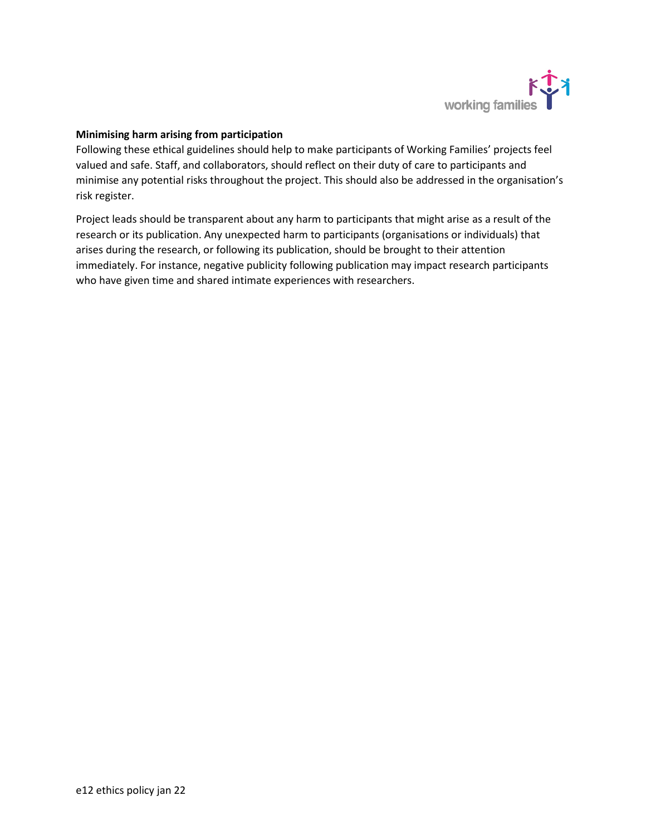

### **Minimising harm arising from participation**

Following these ethical guidelines should help to make participants of Working Families' projects feel valued and safe. Staff, and collaborators, should reflect on their duty of care to participants and minimise any potential risks throughout the project. This should also be addressed in the organisation's risk register.

Project leads should be transparent about any harm to participants that might arise as a result of the research or its publication. Any unexpected harm to participants (organisations or individuals) that arises during the research, or following its publication, should be brought to their attention immediately. For instance, negative publicity following publication may impact research participants who have given time and shared intimate experiences with researchers.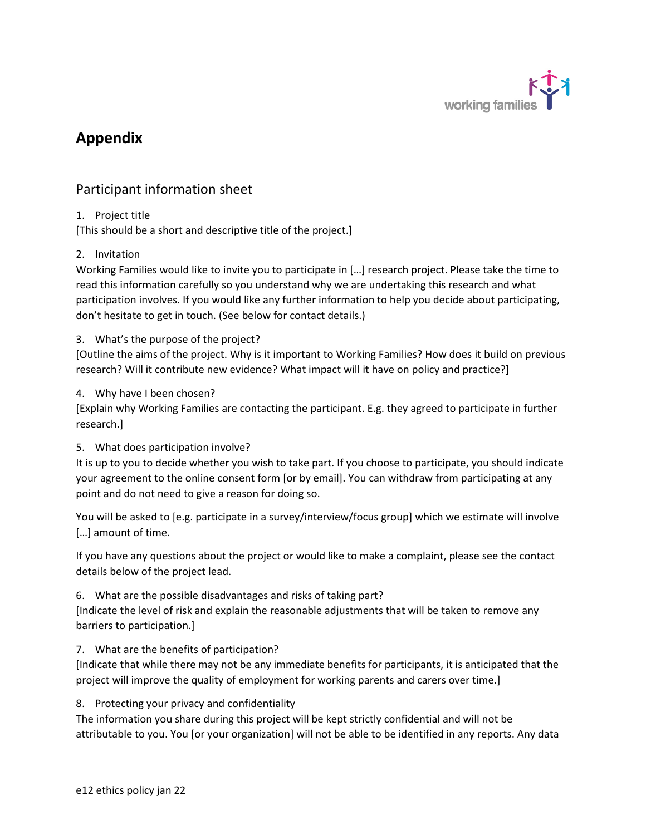

# **Appendix**

## Participant information sheet

## 1. Project title

[This should be a short and descriptive title of the project.]

## 2. Invitation

Working Families would like to invite you to participate in […] research project. Please take the time to read this information carefully so you understand why we are undertaking this research and what participation involves. If you would like any further information to help you decide about participating, don't hesitate to get in touch. (See below for contact details.)

3. What's the purpose of the project?

[Outline the aims of the project. Why is it important to Working Families? How does it build on previous research? Will it contribute new evidence? What impact will it have on policy and practice?]

### 4. Why have I been chosen?

[Explain why Working Families are contacting the participant. E.g. they agreed to participate in further research.]

### 5. What does participation involve?

It is up to you to decide whether you wish to take part. If you choose to participate, you should indicate your agreement to the online consent form [or by email]. You can withdraw from participating at any point and do not need to give a reason for doing so.

You will be asked to [e.g. participate in a survey/interview/focus group] which we estimate will involve […] amount of time.

If you have any questions about the project or would like to make a complaint, please see the contact details below of the project lead.

6. What are the possible disadvantages and risks of taking part?

[Indicate the level of risk and explain the reasonable adjustments that will be taken to remove any barriers to participation.]

## 7. What are the benefits of participation?

[Indicate that while there may not be any immediate benefits for participants, it is anticipated that the project will improve the quality of employment for working parents and carers over time.]

## 8. Protecting your privacy and confidentiality

The information you share during this project will be kept strictly confidential and will not be attributable to you. You [or your organization] will not be able to be identified in any reports. Any data